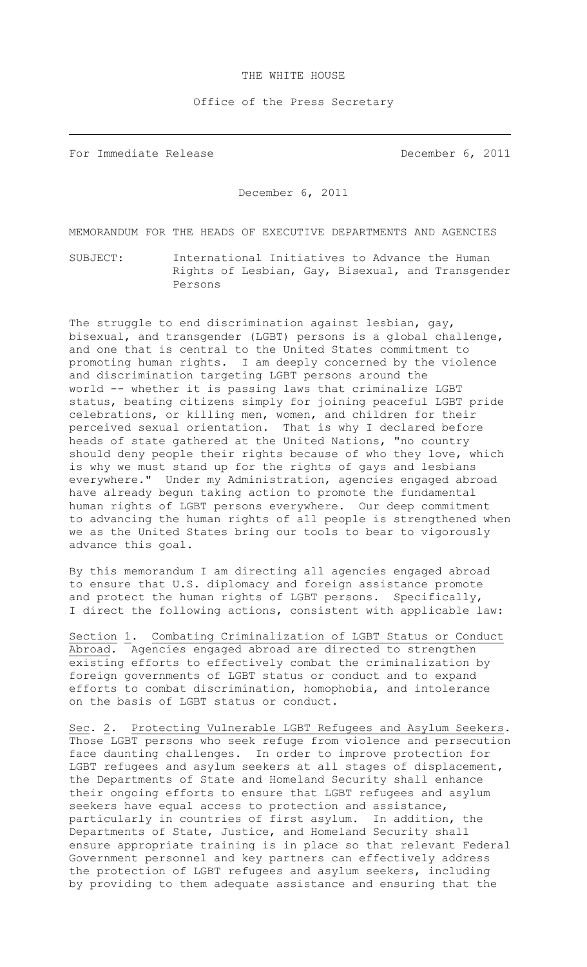## THE WHITE HOUSE

Office of the Press Secretary

For Immediate Release **December 6, 2011** 

December 6, 2011

MEMORANDUM FOR THE HEADS OF EXECUTIVE DEPARTMENTS AND AGENCIES

SUBJECT: International Initiatives to Advance the Human Rights of Lesbian, Gay, Bisexual, and Transgender Persons

The struggle to end discrimination against lesbian, gay, bisexual, and transgender (LGBT) persons is a global challenge, and one that is central to the United States commitment to promoting human rights. I am deeply concerned by the violence and discrimination targeting LGBT persons around the world -- whether it is passing laws that criminalize LGBT status, beating citizens simply for joining peaceful LGBT pride celebrations, or killing men, women, and children for their perceived sexual orientation. That is why I declared before heads of state gathered at the United Nations, "no country should deny people their rights because of who they love, which is why we must stand up for the rights of gays and lesbians everywhere." Under my Administration, agencies engaged abroad have already begun taking action to promote the fundamental human rights of LGBT persons everywhere. Our deep commitment to advancing the human rights of all people is strengthened when we as the United States bring our tools to bear to vigorously advance this goal.

By this memorandum I am directing all agencies engaged abroad to ensure that U.S. diplomacy and foreign assistance promote and protect the human rights of LGBT persons. Specifically, I direct the following actions, consistent with applicable law:

Section 1. Combating Criminalization of LGBT Status or Conduct Abroad.Agencies engaged abroad are directed to strengthen existing efforts to effectively combat the criminalization by foreign governments of LGBT status or conduct and to expand efforts to combat discrimination, homophobia, and intolerance on the basis of LGBT status or conduct.

Sec. 2. Protecting Vulnerable LGBT Refugees and Asylum Seekers. Those LGBT persons who seek refuge from violence and persecution face daunting challenges. In order to improve protection for LGBT refugees and asylum seekers at all stages of displacement, the Departments of State and Homeland Security shall enhance their ongoing efforts to ensure that LGBT refugees and asylum seekers have equal access to protection and assistance, particularly in countries of first asylum. In addition, the Departments of State, Justice, and Homeland Security shall ensure appropriate training is in place so that relevant Federal Government personnel and key partners can effectively address the protection of LGBT refugees and asylum seekers, including by providing to them adequate assistance and ensuring that the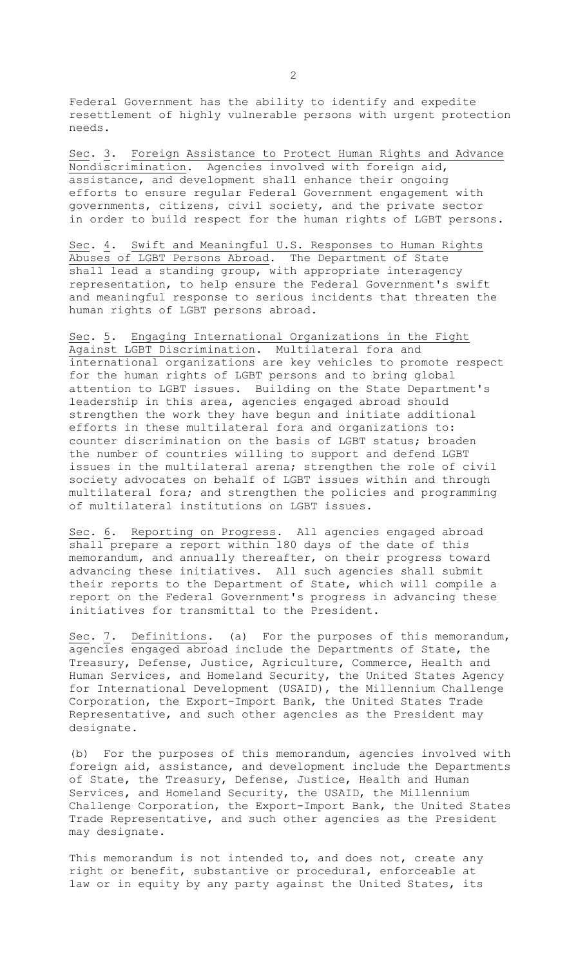Federal Government has the ability to identify and expedite resettlement of highly vulnerable persons with urgent protection needs.

Sec. 3. Foreign Assistance to Protect Human Rights and Advance Nondiscrimination. Agencies involved with foreign aid, assistance, and development shall enhance their ongoing efforts to ensure regular Federal Government engagement with governments, citizens, civil society, and the private sector in order to build respect for the human rights of LGBT persons.

Sec. 4. Swift and Meaningful U.S. Responses to Human Rights Abuses of LGBT Persons Abroad. The Department of State shall lead a standing group, with appropriate interagency representation, to help ensure the Federal Government's swift and meaningful response to serious incidents that threaten the human rights of LGBT persons abroad.

Sec. 5. Engaging International Organizations in the Fight Against LGBT Discrimination. Multilateral fora and international organizations are key vehicles to promote respect for the human rights of LGBT persons and to bring global attention to LGBT issues. Building on the State Department's leadership in this area, agencies engaged abroad should strengthen the work they have begun and initiate additional efforts in these multilateral fora and organizations to: counter discrimination on the basis of LGBT status; broaden the number of countries willing to support and defend LGBT issues in the multilateral arena; strengthen the role of civil society advocates on behalf of LGBT issues within and through multilateral fora; and strengthen the policies and programming of multilateral institutions on LGBT issues.

Sec. 6. Reporting on Progress. All agencies engaged abroad shall prepare a report within 180 days of the date of this memorandum, and annually thereafter, on their progress toward advancing these initiatives. All such agencies shall submit their reports to the Department of State, which will compile a report on the Federal Government's progress in advancing these initiatives for transmittal to the President.

Sec. 7. Definitions. (a) For the purposes of this memorandum, agencies engaged abroad include the Departments of State, the Treasury, Defense, Justice, Agriculture, Commerce, Health and Human Services, and Homeland Security, the United States Agency for International Development (USAID), the Millennium Challenge Corporation, the Export-Import Bank, the United States Trade Representative, and such other agencies as the President may designate.

(b) For the purposes of this memorandum, agencies involved with foreign aid, assistance, and development include the Departments of State, the Treasury, Defense, Justice, Health and Human Services, and Homeland Security, the USAID, the Millennium Challenge Corporation, the Export-Import Bank, the United States Trade Representative, and such other agencies as the President may designate.

This memorandum is not intended to, and does not, create any right or benefit, substantive or procedural, enforceable at law or in equity by any party against the United States, its